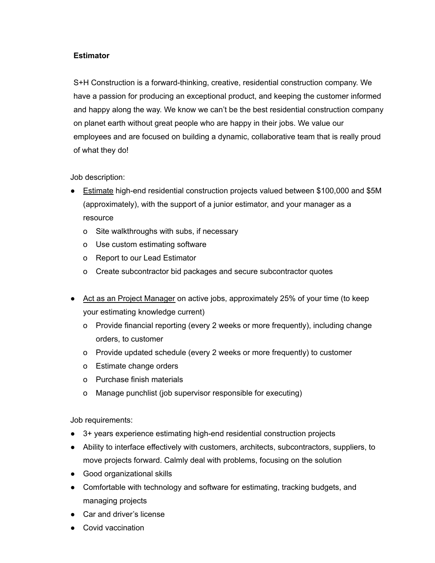## **Estimator**

S+H Construction is a forward-thinking, creative, residential construction company. We have a passion for producing an exceptional product, and keeping the customer informed and happy along the way. We know we can't be the best residential construction company on planet earth without great people who are happy in their jobs. We value our employees and are focused on building a dynamic, collaborative team that is really proud of what they do!

Job description:

- Estimate high-end residential construction projects valued between \$100,000 and \$5M (approximately), with the support of a junior estimator, and your manager as a resource
	- o Site walkthroughs with subs, if necessary
	- o Use custom estimating software
	- o Report to our Lead Estimator
	- o Create subcontractor bid packages and secure subcontractor quotes
- Act as an Project Manager on active jobs, approximately 25% of your time (to keep your estimating knowledge current)
	- o Provide financial reporting (every 2 weeks or more frequently), including change orders, to customer
	- o Provide updated schedule (every 2 weeks or more frequently) to customer
	- o Estimate change orders
	- o Purchase finish materials
	- o Manage punchlist (job supervisor responsible for executing)

Job requirements:

- 3+ years experience estimating high-end residential construction projects
- Ability to interface effectively with customers, architects, subcontractors, suppliers, to move projects forward. Calmly deal with problems, focusing on the solution
- Good organizational skills
- Comfortable with technology and software for estimating, tracking budgets, and managing projects
- Car and driver's license
- Covid vaccination